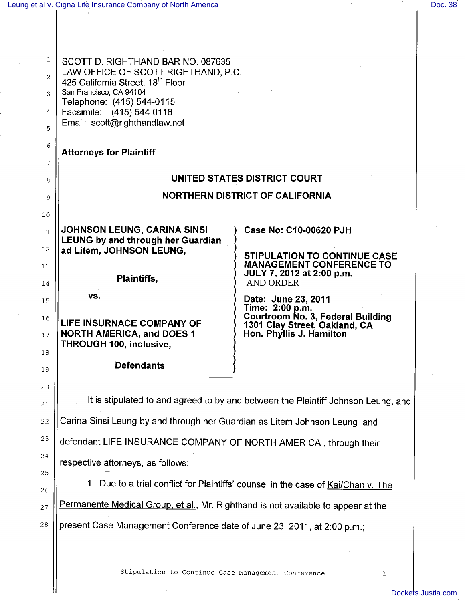|                | Leung et al v. Cigna Life Insurance Company of North America                         |                                                                                   | Doc. 38 |
|----------------|--------------------------------------------------------------------------------------|-----------------------------------------------------------------------------------|---------|
|                |                                                                                      |                                                                                   |         |
|                |                                                                                      |                                                                                   |         |
| ŀ              | SCOTT D. RIGHTHAND BAR NO. 087635                                                    |                                                                                   |         |
| $\overline{2}$ | LAW OFFICE OF SCOTT RIGHTHAND, P.C.<br>425 California Street, 18 <sup>th</sup> Floor |                                                                                   |         |
| 3              | San Francisco, CA 94104<br>Telephone: (415) 544-0115                                 |                                                                                   |         |
| 4              | Facsimile: (415) 544-0116                                                            |                                                                                   |         |
| 5              | Email: scott@righthandlaw.net                                                        |                                                                                   |         |
| 6              | <b>Attorneys for Plaintiff</b>                                                       |                                                                                   |         |
| 7              |                                                                                      |                                                                                   |         |
| 8              |                                                                                      | UNITED STATES DISTRICT COURT<br><b>NORTHERN DISTRICT OF CALIFORNIA</b>            |         |
| 9              |                                                                                      |                                                                                   |         |
| 10<br>11       | JOHNSON LEUNG, CARINA SINSI                                                          | Case No: C10-00620 PJH                                                            |         |
| 12             | <b>LEUNG by and through her Guardian</b><br>ad Litem, JOHNSON LEUNG,                 |                                                                                   |         |
| 13             |                                                                                      | <b>STIPULATION TO CONTINUE CASE</b><br><b>MANAGEMENT CONFERENCE TO</b>            |         |
| 14             | Plaintiffs,                                                                          | JULY 7, 2012 at 2:00 p.m.<br><b>AND ORDER</b>                                     |         |
| 15             | VS.                                                                                  | Date: June 23, 2011                                                               |         |
| 16             | LIFE INSURNACE COMPANY OF                                                            | Time: 2:00 p.m.<br><b>Courtroom No. 3, Federal Building</b>                       |         |
| $17\,$         | <b>NORTH AMERICA, and DOES 1</b>                                                     | 1301 Clay Street, Oakland, CA<br>Hon. Phyllis J. Hamilton                         |         |
| 18             | THROUGH 100, inclusive,                                                              |                                                                                   |         |
| 19             | <b>Defendants</b>                                                                    |                                                                                   |         |
| 20             |                                                                                      |                                                                                   |         |
| $2\sqrt{1}$    | It is stipulated to and agreed to by and between the Plaintiff Johnson Leung, and    |                                                                                   |         |
| 22             | Carina Sinsi Leung by and through her Guardian as Litem Johnson Leung and            |                                                                                   |         |
| 23             | defendant LIFE INSURANCE COMPANY OF NORTH AMERICA, through their                     |                                                                                   |         |
| 24             | respective attorneys, as follows:                                                    |                                                                                   |         |
| 25<br>26       |                                                                                      | 1. Due to a trial conflict for Plaintiffs' counsel in the case of Kai/Chan v. The |         |
| 27             | Permanente Medical Group, et al., Mr. Righthand is not available to appear at the    |                                                                                   |         |
| 28             | present Case Management Conference date of June 23, 2011, at 2:00 p.m.;              |                                                                                   |         |
|                |                                                                                      |                                                                                   |         |
|                |                                                                                      |                                                                                   |         |

 $\bar{\zeta}$ 

Stipulation to Continue Case Management Conference <sup>1</sup>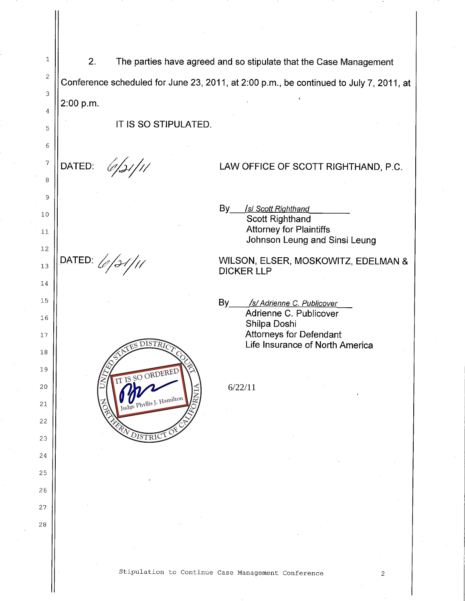1 2. The parties have agreed and so stipulate that the Case Management 2 Conference scheduled for June 23, 2011, at 2:00 p.m., be continued to July 7, 2011, at 3 2:00 p.m. 4 IT IS SO STIPULATED. 5 6 7 6/31/11 DATED: LAW OFFICE OF SCOTT RIGHTHAND, P.C. 8 9 By *1st Scott Riqhthand* 10 Scott Righthand Attorney for Plaintiffs 11 Johnson Leung and Sinsi Leung 12  $\mathsf{DATED:} \mathcal{L}/\mathcal{H}/\mathcal{H}$ WILSON, ELSER, MOSKOWITZ, EDELMAN & 13 DICKER LLP 14 15 By /s/ Adrienne C. Publicover Adrienne C. Publicover 16 Shilpa Doshi Attorneys for Defendant 17 Life Insurance of North America UNITES DISTRICT CONTRACT COMPANY 18 19 ORDERED 20 NORTHERN DISTRICT OF CALIFORNIA 6/22/11Judge Phyllis J. Hamilton 21 22 23 24 25 26 27 28

## Stipulation to Continue Case Management Conference <sup>2</sup>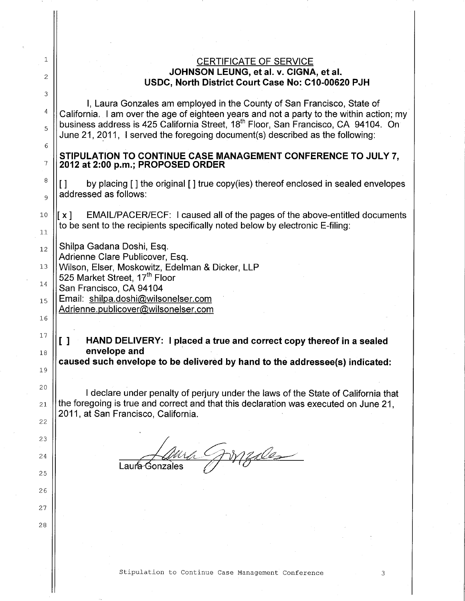## CERTIFICATE OF SERVICE **JOHNSON LEUNG, et al.** V. **CIGNA, et al. USDC, North District Court Case No: C10-00620 PJH**

I, Laura Gonzales am employed in the County of San Francisco, State of California. I am over the age of eighteen years and not a party to the within action; my business address is 425 California Street, 18<sup>th</sup> Floor, San Francisco, CA 94104. On June 21, 2011, I served the foregoing document(s) described as the following:

## **STIPULATION TO CONTINUE CASE MANAGEMENT CONFERENCE TO JULY 7, 2012 at 2:00 p.m.; PROPOSED ORDER**

[ ] by placing [ ] the original [ ] true copy(ies) thereof enclosed in sealed envelopes addressed as follows:

 $\left| \chi \right|$  EMAIL/PACER/ECF: I caused all of the pages of the above-entitled documents to be sent to the recipients specifically noted below by electronic E-filing:

Shilpa Gadana Doshi, Esq. 12

1

2

3

4

5

6

7

8

9

10

11

14

15

16

17

18

19

20

21

22

23

24

25

26

27

28

Adrienne Clare Publicover, Esq.

Wilson, Elser, Moskowitz, Edelman & Dicker, LLP 13

525 Market Street, 17<sup>th</sup> Floor

San Francisco, CA 94104

Email: shilpa.doshi@wilsonelser.com

Adrienne.publicover@wilsonelser.com

## [ ] **HAND DELIVERY: I placed a true and correct copy thereof in a sealed envelope and**

**caused such envelope to be delivered by hand to the addressee(s) indicated:**

I declare under penalty of perjury under the laws of the State of California that the foregoing is true and correct and that this declaration was executed on June 21, 2011, at San Francisco, California.

Medes Laura Gonzales